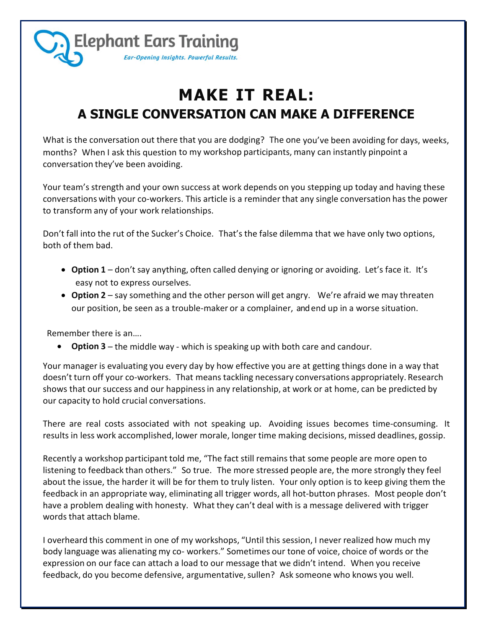

## **MAKE IT REAL: A SINGLE CONVERSATION CAN MAKE A DIFFERENCE**

What is the conversation out there that you are dodging? The one you've been avoiding for days, weeks, months? When I ask this question to my workshop participants, many can instantly pinpoint a conversation they've been avoiding.

Your team's strength and your own success at work depends on you stepping up today and having these conversations with your co-workers. This article is a reminder that any single conversation has the power to transform any of your work relationships.

Don't fall into the rut of the Sucker's Choice. That's the false dilemma that we have only two options, both of them bad.

- **Option 1** don't say anything, often called denying or ignoring or avoiding. Let's face it. It's easy not to express ourselves.
- **Option 2** say something and the other person will get angry. We're afraid we may threaten our position, be seen as a trouble-maker or a complainer, and end up in a worse situation.

Remember there is an….

**• Option 3** – the middle way - which is speaking up with both care and candour.

Your manager is evaluating you every day by how effective you are at getting things done in a way that doesn't turn off your co-workers. That means tackling necessary conversations appropriately. Research shows that our success and our happinessin any relationship, at work or at home, can be predicted by our capacity to hold crucial conversations.

There are real costs associated with not speaking up. Avoiding issues becomes time-consuming. It results in less work accomplished, lower morale, longer time making decisions, missed deadlines, gossip.

Recently a workshop participant told me, "The fact still remainsthat some people are more open to listening to feedback than others." So true. The more stressed people are, the more strongly they feel about the issue, the harder it will be for them to truly listen. Your only option is to keep giving them the feedback in an appropriate way, eliminating all trigger words, all hot-button phrases. Most people don't have a problem dealing with honesty. What they can't deal with is a message delivered with trigger words that attach blame.

I overheard this comment in one of my workshops, "Until this session, I never realized how much my body language was alienating my co- workers." Sometimes our tone of voice, choice of words or the expression on our face can attach a load to our message that we didn't intend. When you receive feedback, do you become defensive, argumentative, sullen? Ask someone who knows you well.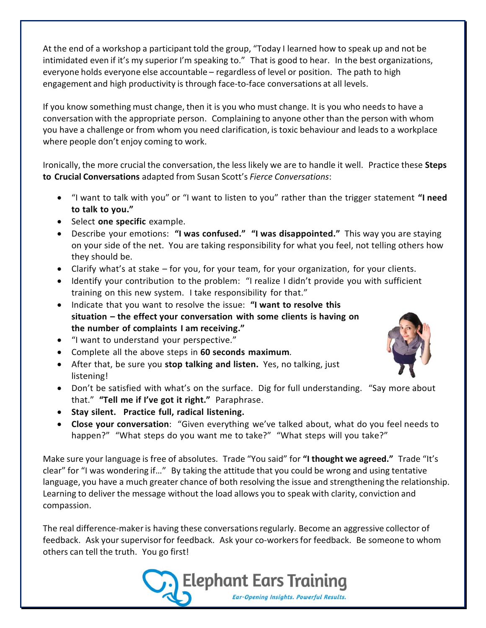At the end of a workshop a participant told the group, "Today I learned how to speak up and not be intimidated even if it's my superior I'm speaking to." That is good to hear. In the best organizations, everyone holds everyone else accountable – regardless of level or position. The path to high engagement and high productivity is through face-to-face conversations at all levels.

If you know something must change, then it is you who must change. It is you who needs to have a conversation with the appropriate person. Complaining to anyone other than the person with whom you have a challenge or from whom you need clarification, is toxic behaviour and leads to a workplace where people don't enjoy coming to work.

Ironically, the more crucial the conversation, the less likely we are to handle it well. Practice these **Steps to Crucial Conversations** adapted from Susan Scott's *Fierce Conversations*:

- "I want to talk with you" or "I want to listen to you" rather than the trigger statement **"I need to talk to you."**
- **Select one specific** example.
- Describe your emotions: **"I was confused." "I was disappointed."** This way you are staying on your side of the net. You are taking responsibility for what you feel, not telling others how they should be.
- Clarify what's at stake for you, for your team, for your organization, for your clients.
- Identify your contribution to the problem: "I realize I didn't provide you with sufficient training on this new system. I take responsibility for that."
- Indicate that you want to resolve the issue: **"I want to resolve this situation – the effect your conversation with some clients is having on the number of complaints I am receiving."**
- "I want to understand your perspective."
- Complete all the above steps in **60 seconds maximum***.*
- After that, be sure you **stop talking and listen.** Yes, no talking, just listening!
- Don't be satisfied with what's on the surface. Dig for full understanding. "Say more about that." **"Tell me if I've got it right."** Paraphrase.
- **Stay silent. Practice full, radical listening.**
- **Close your conversation**: "Given everything we've talked about, what do you feel needs to happen?" "What steps do you want me to take?" "What steps will you take?"

Make sure your language is free of absolutes. Trade "You said" for **"I thought we agreed."** Trade "It's clear" for "I was wondering if…" By taking the attitude that you could be wrong and using tentative language, you have a much greater chance of both resolving the issue and strengthening the relationship. Learning to deliver the message without the load allows you to speak with clarity, conviction and compassion.

The real difference-maker is having these conversations regularly. Become an aggressive collector of feedback. Ask your supervisor for feedback. Ask your co-workersfor feedback. Be someone to whom others can tell the truth. You go first!